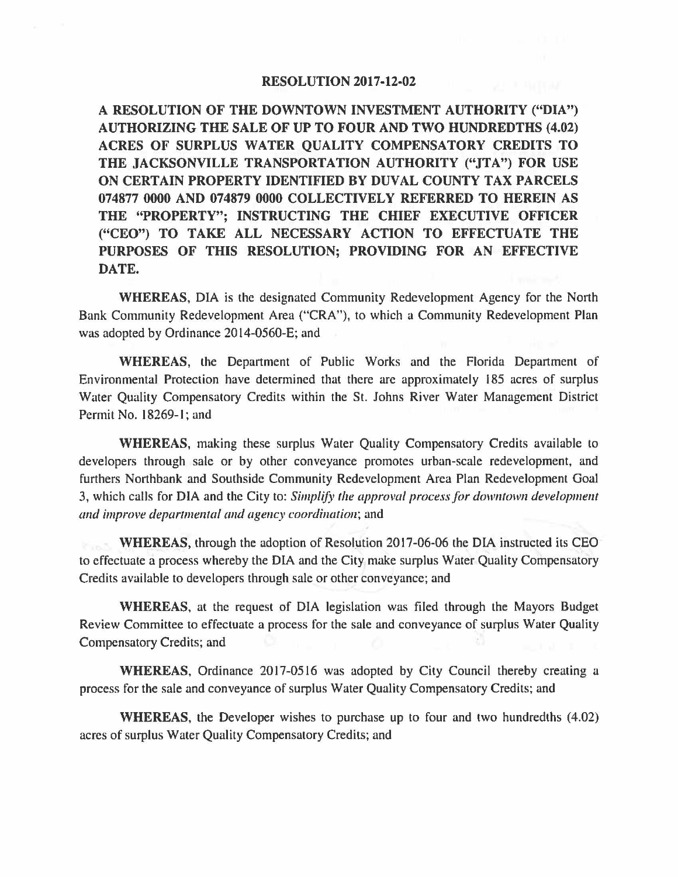## **RESOLUTION 2017-12-02**

**A RESOLUTION OF THE DOWNTOWN INVESTMENT AUTHORITY ("DIA") AUTHORIZING THE SALE OF UP TO FOUR AND TWO HUNDREDTHS (4.02) ACRES OF SURPLUS WATER QUALITY COMPENSATORY CREDITS TO THE JACKSONVILLE TRANSPORTATION AUTHORITY ("JTA") FOR USE ON CERTAIN PROPERTY IDENTIFIED BY DUVAL COUNTY TAX PARCELS 074877 0000 AND 074879 0000 COLLECTIVELY REFERRED TO HEREIN AS THE "PROPERTY"; INSTRUCTING THE CHIEF EXECUTIVE OFFICER ("CEO") TO TAKE ALL NECESSARY ACTION TO EFFECTUATE THE PURPOSES OF THIS RESOLUTION; PROVIDING FOR AN EFFECTIVE DATE.** 

**WHEREAS,** DIA is the designated Community Redevelopment Agency for the North Bank Community Redevelopment Area ("CRA"), to which a Community Redevelopment Plan was adopted by Ordinance 2014-0560-E; and

**WHEREAS,** the Department of Public Works and the Florida Department of Environmental Protection have determined that there are approximately 185 acres of surplus Water Quality Compensatory Credits within the St. Johns River Water Management District Permit No. 18269-1; and

**WHEREAS,** making these surplus Water Quality Compensatory Credits available to developers through sale or by other conveyance promotes urban-scale redevelopment, and furthers Northbank and Southside Community Redevelopment Area Plan Redevelopment Goal 3, which calls for DIA and the City to: *Simplify the approval process for downtown development and improve departmental and agency coordination;* and

**WHEREAS,** through the adoption of Resolution 2017-06-06 the DIA instructed its CEO to effectuate a process whereby the DIA and the City make surplus Water Quality Compensatory Credits available to developers through sale or other conveyance; and

**WHEREAS,** at the request of DIA legislation was filed through the Mayors Budget Review Committee to effectuate a process for the sale and conveyance of surplus Water Quality Compensatory Credits; and

**WHEREAS,** Ordinance 2017-0516 was adopted by City Council thereby creating a process for the sale and conveyance of surplus Water Quality Compensatory Credits; and

**WHEREAS,** the Developer wishes to purchase up to four and two hundredths (4.02) acres of surplus Water Quality Compensatory Credits; and